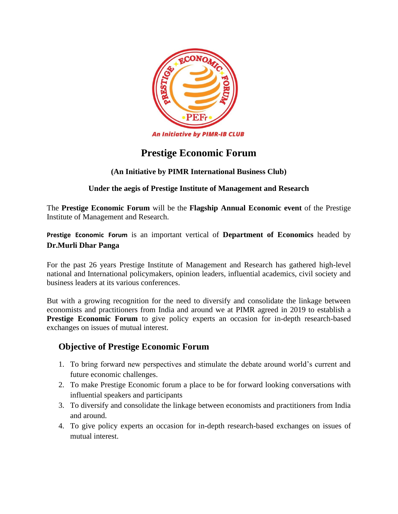

# **Prestige Economic Forum**

### **(An Initiative by PIMR International Business Club)**

#### **Under the aegis of Prestige Institute of Management and Research**

The **Prestige Economic Forum** will be the **Flagship Annual Economic event** of the Prestige Institute of Management and Research.

**Prestige Economic Forum** is an important vertical of **Department of Economics** headed by **Dr.Murli Dhar Panga**

For the past 26 years Prestige Institute of Management and Research has gathered high-level national and International policymakers, opinion leaders, influential academics, civil society and business leaders at its various conferences.

But with a growing recognition for the need to diversify and consolidate the linkage between economists and practitioners from India and around we at PIMR agreed in 2019 to establish a **Prestige Economic Forum** to give policy experts an occasion for in-depth research-based exchanges on issues of mutual interest.

## **Objective of Prestige Economic Forum**

- 1. To bring forward new perspectives and stimulate the debate around world's current and future economic challenges.
- 2. To make Prestige Economic forum a place to be for forward looking conversations with influential speakers and participants
- 3. To diversify and consolidate the linkage between economists and practitioners from India and around.
- 4. To give policy experts an occasion for in-depth research-based exchanges on issues of mutual interest.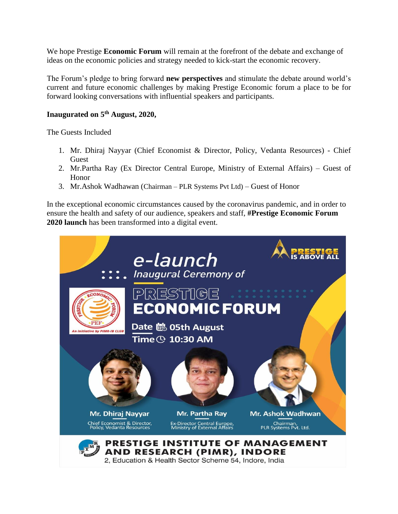We hope Prestige **Economic Forum** will remain at the forefront of the debate and exchange of ideas on the economic policies and strategy needed to kick-start the economic recovery.

The Forum's pledge to bring forward **new perspectives** and stimulate the debate around world's current and future economic challenges by making Prestige Economic forum a place to be for forward looking conversations with influential speakers and participants.

#### **Inaugurated on 5th August, 2020,**

The Guests Included

- 1. Mr. Dhiraj Nayyar (Chief Economist & Director, Policy, Vedanta Resources) Chief Guest
- 2. Mr.Partha Ray (Ex Director Central Europe, Ministry of External Affairs) Guest of Honor
- 3. Mr.Ashok Wadhawan (Chairman PLR Systems Pvt Ltd) Guest of Honor

In the exceptional economic circumstances caused by the coronavirus pandemic, and in order to ensure the health and safety of our audience, speakers and staff, **#Prestige Economic Forum 2020 launch** has been transformed into a digital event.

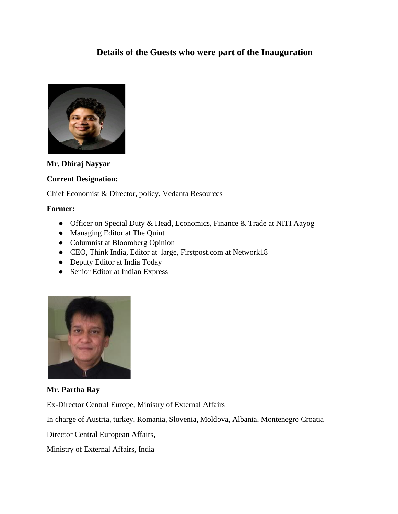## **Details of the Guests who were part of the Inauguration**



**Mr. Dhiraj Nayyar**

#### **Current Designation:**

Chief Economist & Director, policy, Vedanta Resources

#### **Former:**

- Officer on Special Duty & Head, Economics, Finance & Trade at NITI Aayog
- Managing Editor at The Quint
- Columnist at Bloomberg Opinion
- CEO, Think India, Editor at large, Firstpost.com at Network18
- Deputy Editor at India Today
- Senior Editor at Indian Express



**Mr. Partha Ray**

Ex-Director Central Europe, Ministry of External Affairs

In charge of Austria, turkey, Romania, Slovenia, Moldova, Albania, Montenegro Croatia

Director Central European Affairs,

[Ministry of External Affairs, India](https://in.linkedin.com/company/ministry-of-external-affairs-india?trk=public_profile_experience-item_result-card_subtitle-click)